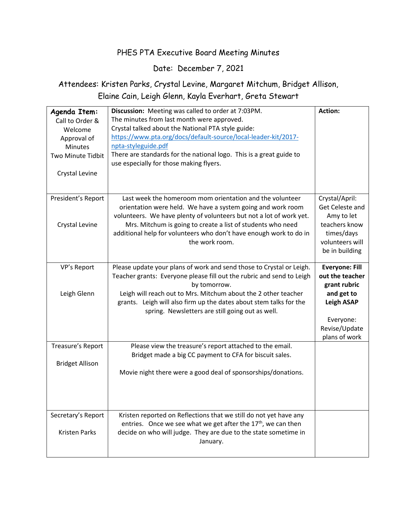## PHES PTA Executive Board Meeting Minutes

## Date: December 7, 2021

## Attendees: Kristen Parks, Crystal Levine, Margaret Mitchum, Bridget Allison, Elaine Cain, Leigh Glenn, Kayla Everhart, Greta Stewart

| Agenda Item:<br>Call to Order &<br>Welcome<br>Approval of<br><b>Minutes</b><br>Two Minute Tidbit<br><b>Crystal Levine</b> | Discussion: Meeting was called to order at 7:03PM.<br>The minutes from last month were approved.<br>Crystal talked about the National PTA style guide:<br>https://www.pta.org/docs/default-source/local-leader-kit/2017-<br>npta-styleguide.pdf<br>There are standards for the national logo. This is a great guide to<br>use especially for those making flyers. | <b>Action:</b>                                                                                                                             |
|---------------------------------------------------------------------------------------------------------------------------|-------------------------------------------------------------------------------------------------------------------------------------------------------------------------------------------------------------------------------------------------------------------------------------------------------------------------------------------------------------------|--------------------------------------------------------------------------------------------------------------------------------------------|
| President's Report<br><b>Crystal Levine</b>                                                                               | Last week the homeroom mom orientation and the volunteer<br>orientation were held. We have a system going and work room<br>volunteers. We have plenty of volunteers but not a lot of work yet.<br>Mrs. Mitchum is going to create a list of students who need<br>additional help for volunteers who don't have enough work to do in<br>the work room.             | Crystal/April:<br>Get Celeste and<br>Amy to let<br>teachers know<br>times/days<br>volunteers will<br>be in building                        |
| VP's Report<br>Leigh Glenn                                                                                                | Please update your plans of work and send those to Crystal or Leigh.<br>Teacher grants: Everyone please fill out the rubric and send to Leigh<br>by tomorrow.<br>Leigh will reach out to Mrs. Mitchum about the 2 other teacher<br>grants. Leigh will also firm up the dates about stem talks for the<br>spring. Newsletters are still going out as well.         | <b>Everyone: Fill</b><br>out the teacher<br>grant rubric<br>and get to<br><b>Leigh ASAP</b><br>Everyone:<br>Revise/Update<br>plans of work |
| Treasure's Report<br><b>Bridget Allison</b>                                                                               | Please view the treasure's report attached to the email.<br>Bridget made a big CC payment to CFA for biscuit sales.<br>Movie night there were a good deal of sponsorships/donations.                                                                                                                                                                              |                                                                                                                                            |
| Secretary's Report<br><b>Kristen Parks</b>                                                                                | Kristen reported on Reflections that we still do not yet have any<br>entries. Once we see what we get after the $17th$ , we can then<br>decide on who will judge. They are due to the state sometime in<br>January.                                                                                                                                               |                                                                                                                                            |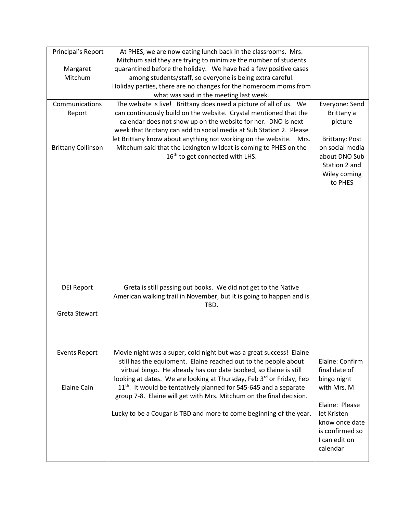| Principal's Report        | At PHES, we are now eating lunch back in the classrooms. Mrs.<br>Mitchum said they are trying to minimize the number of students                     |                                          |
|---------------------------|------------------------------------------------------------------------------------------------------------------------------------------------------|------------------------------------------|
| Margaret                  | quarantined before the holiday. We have had a few positive cases                                                                                     |                                          |
| Mitchum                   | among students/staff, so everyone is being extra careful.                                                                                            |                                          |
|                           | Holiday parties, there are no changes for the homeroom moms from                                                                                     |                                          |
|                           | what was said in the meeting last week.                                                                                                              |                                          |
| Communications            | The website is live! Brittany does need a picture of all of us. We                                                                                   | Everyone: Send                           |
| Report                    | can continuously build on the website. Crystal mentioned that the                                                                                    | Brittany a                               |
|                           | calendar does not show up on the website for her. DNO is next                                                                                        | picture                                  |
|                           | week that Brittany can add to social media at Sub Station 2. Please                                                                                  |                                          |
| <b>Brittany Collinson</b> | let Brittany know about anything not working on the website. Mrs.<br>Mitchum said that the Lexington wildcat is coming to PHES on the                | <b>Brittany: Post</b><br>on social media |
|                           | 16 <sup>th</sup> to get connected with LHS.                                                                                                          | about DNO Sub                            |
|                           |                                                                                                                                                      | Station 2 and                            |
|                           |                                                                                                                                                      | Wiley coming                             |
|                           |                                                                                                                                                      | to PHES                                  |
|                           |                                                                                                                                                      |                                          |
|                           |                                                                                                                                                      |                                          |
|                           |                                                                                                                                                      |                                          |
|                           |                                                                                                                                                      |                                          |
|                           |                                                                                                                                                      |                                          |
|                           |                                                                                                                                                      |                                          |
|                           |                                                                                                                                                      |                                          |
|                           |                                                                                                                                                      |                                          |
|                           |                                                                                                                                                      |                                          |
|                           |                                                                                                                                                      |                                          |
| <b>DEI Report</b>         | Greta is still passing out books. We did not get to the Native                                                                                       |                                          |
|                           | American walking trail in November, but it is going to happen and is                                                                                 |                                          |
|                           | TBD.                                                                                                                                                 |                                          |
| Greta Stewart             |                                                                                                                                                      |                                          |
|                           |                                                                                                                                                      |                                          |
|                           |                                                                                                                                                      |                                          |
|                           |                                                                                                                                                      |                                          |
| <b>Events Report</b>      | Movie night was a super, cold night but was a great success! Elaine                                                                                  |                                          |
|                           | still has the equipment. Elaine reached out to the people about                                                                                      | Elaine: Confirm                          |
|                           | virtual bingo. He already has our date booked, so Elaine is still                                                                                    | final date of                            |
|                           | looking at dates. We are looking at Thursday, Feb 3rd or Friday, Feb                                                                                 | bingo night                              |
| <b>Elaine Cain</b>        | 11 <sup>th</sup> . It would be tentatively planned for 545-645 and a separate<br>group 7-8. Elaine will get with Mrs. Mitchum on the final decision. | with Mrs. M                              |
|                           |                                                                                                                                                      | Elaine: Please                           |
|                           | Lucky to be a Cougar is TBD and more to come beginning of the year.                                                                                  | let Kristen                              |
|                           |                                                                                                                                                      | know once date                           |
|                           |                                                                                                                                                      | is confirmed so                          |
|                           |                                                                                                                                                      | I can edit on                            |
|                           |                                                                                                                                                      | calendar                                 |
|                           |                                                                                                                                                      |                                          |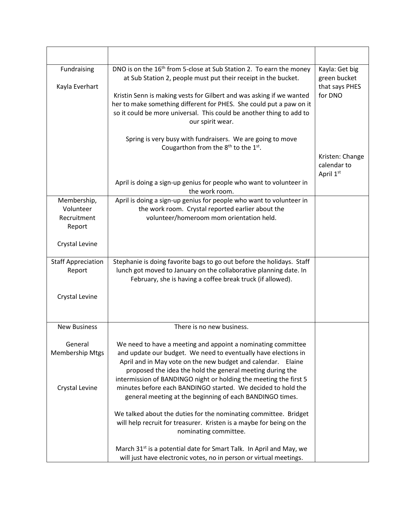| Fundraising<br>Kayla Everhart                     | DNO is on the 16 <sup>th</sup> from 5-close at Sub Station 2. To earn the money<br>at Sub Station 2, people must put their receipt in the bucket.<br>Kristin Senn is making vests for Gilbert and was asking if we wanted<br>her to make something different for PHES. She could put a paw on it<br>so it could be more universal. This could be another thing to add to<br>our spirit wear. | Kayla: Get big<br>green bucket<br>that says PHES<br>for DNO |
|---------------------------------------------------|----------------------------------------------------------------------------------------------------------------------------------------------------------------------------------------------------------------------------------------------------------------------------------------------------------------------------------------------------------------------------------------------|-------------------------------------------------------------|
|                                                   | Spring is very busy with fundraisers. We are going to move<br>Cougarthon from the 8 <sup>th</sup> to the 1 <sup>st</sup> .                                                                                                                                                                                                                                                                   | Kristen: Change<br>calendar to<br>April 1st                 |
|                                                   | April is doing a sign-up genius for people who want to volunteer in<br>the work room.                                                                                                                                                                                                                                                                                                        |                                                             |
| Membership,<br>Volunteer<br>Recruitment<br>Report | April is doing a sign-up genius for people who want to volunteer in<br>the work room. Crystal reported earlier about the<br>volunteer/homeroom mom orientation held.                                                                                                                                                                                                                         |                                                             |
| Crystal Levine                                    |                                                                                                                                                                                                                                                                                                                                                                                              |                                                             |
| <b>Staff Appreciation</b><br>Report               | Stephanie is doing favorite bags to go out before the holidays. Staff<br>lunch got moved to January on the collaborative planning date. In<br>February, she is having a coffee break truck (if allowed).                                                                                                                                                                                     |                                                             |
| Crystal Levine                                    |                                                                                                                                                                                                                                                                                                                                                                                              |                                                             |
| <b>New Business</b>                               | There is no new business.                                                                                                                                                                                                                                                                                                                                                                    |                                                             |
| General<br><b>Membership Mtgs</b>                 | We need to have a meeting and appoint a nominating committee<br>and update our budget. We need to eventually have elections in<br>April and in May vote on the new budget and calendar. Elaine<br>proposed the idea the hold the general meeting during the<br>intermission of BANDINGO night or holding the meeting the first 5                                                             |                                                             |
| Crystal Levine                                    | minutes before each BANDINGO started. We decided to hold the<br>general meeting at the beginning of each BANDINGO times.                                                                                                                                                                                                                                                                     |                                                             |
|                                                   | We talked about the duties for the nominating committee. Bridget<br>will help recruit for treasurer. Kristen is a maybe for being on the<br>nominating committee.                                                                                                                                                                                                                            |                                                             |
|                                                   | March 31 <sup>st</sup> is a potential date for Smart Talk. In April and May, we<br>will just have electronic votes, no in person or virtual meetings.                                                                                                                                                                                                                                        |                                                             |